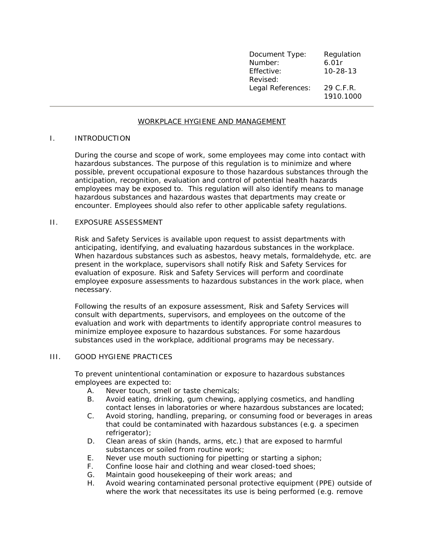| Document Type:    | Regulation     |
|-------------------|----------------|
| Number:           | 6.01r          |
| Effective:        | $10 - 28 - 13$ |
| Revised:          |                |
| Legal References: | 29 C.F.R.      |
|                   | 1910.1000      |

# WORKPLACE HYGIENE AND MANAGEMENT

## I. INTRODUCTION

During the course and scope of work, some employees may come into contact with hazardous substances. The purpose of this regulation is to minimize and where possible, prevent occupational exposure to those hazardous substances through the anticipation, recognition, evaluation and control of potential health hazards employees may be exposed to. This regulation will also identify means to manage hazardous substances and hazardous wastes that departments may create or encounter. Employees should also refer to other applicable safety regulations.

## II. EXPOSURE ASSESSMENT

Risk and Safety Services is available upon request to assist departments with anticipating, identifying, and evaluating hazardous substances in the workplace. When hazardous substances such as asbestos, heavy metals, formaldehyde, etc. are present in the workplace, supervisors shall notify Risk and Safety Services for evaluation of exposure. Risk and Safety Services will perform and coordinate employee exposure assessments to hazardous substances in the work place, when necessary.

Following the results of an exposure assessment, Risk and Safety Services will consult with departments, supervisors, and employees on the outcome of the evaluation and work with departments to identify appropriate control measures to minimize employee exposure to hazardous substances. For some hazardous substances used in the workplace, additional programs may be necessary.

#### III. GOOD HYGIENE PRACTICES

To prevent unintentional contamination or exposure to hazardous substances employees are expected to:

- A. Never touch, smell or taste chemicals;
- B. Avoid eating, drinking, gum chewing, applying cosmetics, and handling contact lenses in laboratories or where hazardous substances are located;
- C. Avoid storing, handling, preparing, or consuming food or beverages in areas that could be contaminated with hazardous substances (e.g. a specimen refrigerator);
- D. Clean areas of skin (hands, arms, etc.) that are exposed to harmful substances or soiled from routine work;
- E. Never use mouth suctioning for pipetting or starting a siphon;
- F. Confine loose hair and clothing and wear closed-toed shoes;
- G. Maintain good housekeeping of their work areas; and
- H. Avoid wearing contaminated personal protective equipment (PPE) outside of where the work that necessitates its use is being performed (e.g. remove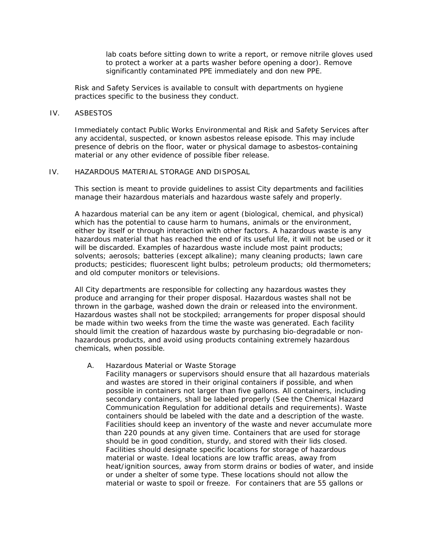lab coats before sitting down to write a report, or remove nitrile gloves used to protect a worker at a parts washer before opening a door). Remove significantly contaminated PPE immediately and don new PPE.

Risk and Safety Services is available to consult with departments on hygiene practices specific to the business they conduct.

### IV. ASBESTOS

Immediately contact Public Works Environmental and Risk and Safety Services after any accidental, suspected, or known asbestos release episode. This may include presence of debris on the floor, water or physical damage to asbestos-containing material or any other evidence of possible fiber release.

# IV. HAZARDOUS MATERIAL STORAGE AND DISPOSAL

This section is meant to provide guidelines to assist City departments and facilities manage their hazardous materials and hazardous waste safely and properly.

A hazardous material can be any item or agent (biological, chemical, and physical) which has the potential to cause harm to humans, animals or the environment, either by itself or through interaction with other factors. A hazardous waste is any hazardous material that has reached the end of its useful life, it will not be used or it will be discarded. Examples of hazardous waste include most paint products; solvents; aerosols; batteries (except alkaline); many cleaning products; lawn care products; pesticides; fluorescent light bulbs; petroleum products; old thermometers; and old computer monitors or televisions.

All City departments are responsible for collecting any hazardous wastes they produce and arranging for their proper disposal. Hazardous wastes shall not be thrown in the garbage, washed down the drain or released into the environment. Hazardous wastes shall not be stockpiled; arrangements for proper disposal should be made within two weeks from the time the waste was generated. Each facility should limit the creation of hazardous waste by purchasing bio-degradable or nonhazardous products, and avoid using products containing extremely hazardous chemicals, when possible.

### A. Hazardous Material or Waste Storage

Facility managers or supervisors should ensure that all hazardous materials and wastes are stored in their original containers if possible, and when possible in containers not larger than five gallons. All containers, including secondary containers, shall be labeled properly (See the Chemical Hazard Communication Regulation for additional details and requirements). Waste containers should be labeled with the date and a description of the waste. Facilities should keep an inventory of the waste and never accumulate more than 220 pounds at any given time. Containers that are used for storage should be in good condition, sturdy, and stored with their lids closed. Facilities should designate specific locations for storage of hazardous material or waste. Ideal locations are low traffic areas, away from heat/ignition sources, away from storm drains or bodies of water, and inside or under a shelter of some type. These locations should not allow the material or waste to spoil or freeze. For containers that are 55 gallons or